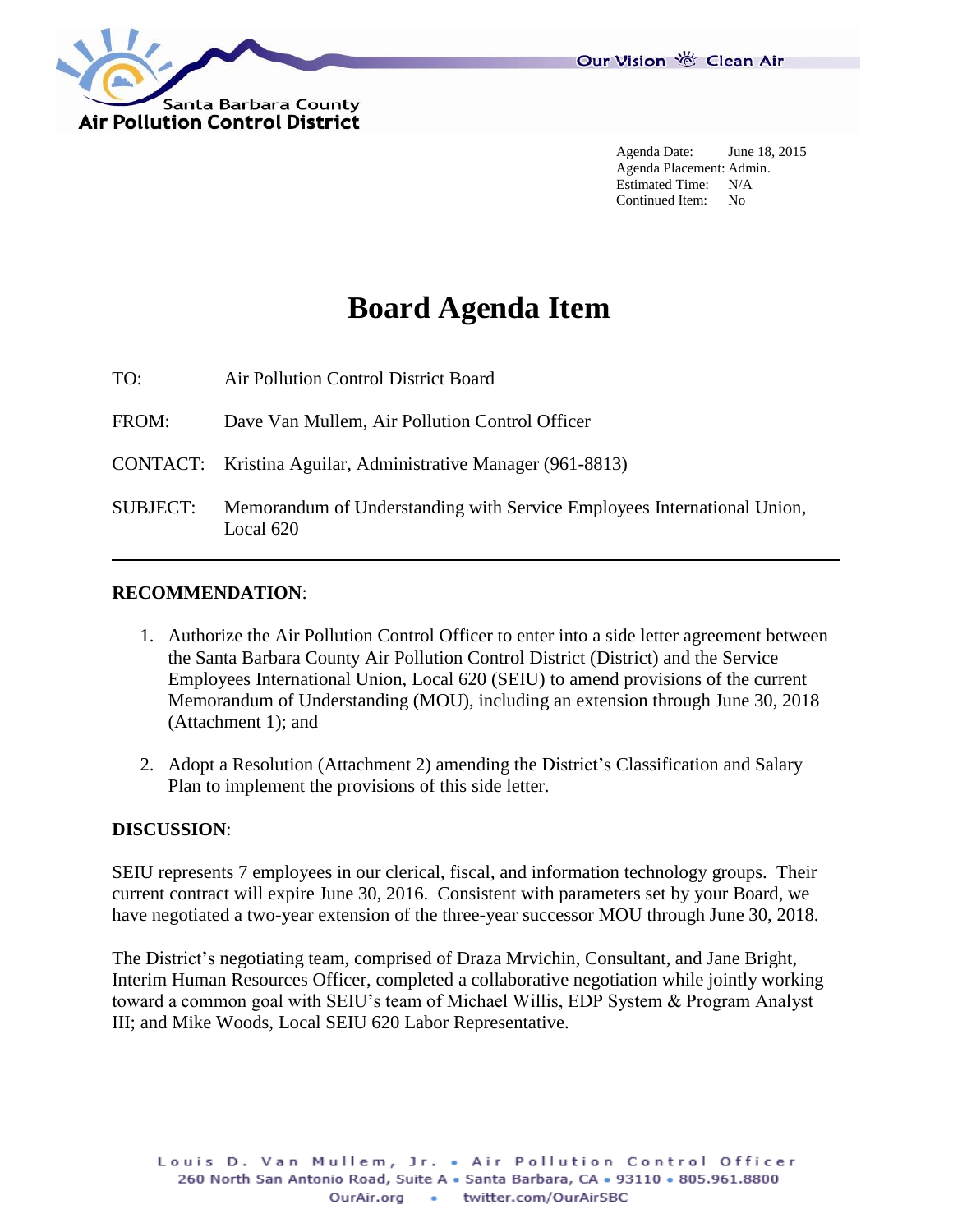

Agenda Date: June 18, 2015 Agenda Placement: Admin. Estimated Time: N/A Continued Item: No

# **Board Agenda Item**

TO: Air Pollution Control District Board

FROM: Dave Van Mullem, Air Pollution Control Officer

CONTACT: Kristina Aguilar, Administrative Manager (961-8813)

SUBJECT: Memorandum of Understanding with Service Employees International Union, Local 620

#### **RECOMMENDATION**:

- 1. Authorize the Air Pollution Control Officer to enter into a side letter agreement between the Santa Barbara County Air Pollution Control District (District) and the Service Employees International Union, Local 620 (SEIU) to amend provisions of the current Memorandum of Understanding (MOU), including an extension through June 30, 2018 (Attachment 1); and
- 2. Adopt a Resolution (Attachment 2) amending the District's Classification and Salary Plan to implement the provisions of this side letter.

#### **DISCUSSION**:

SEIU represents 7 employees in our clerical, fiscal, and information technology groups. Their current contract will expire June 30, 2016. Consistent with parameters set by your Board, we have negotiated a two-year extension of the three-year successor MOU through June 30, 2018.

The District's negotiating team, comprised of Draza Mrvichin, Consultant, and Jane Bright, Interim Human Resources Officer, completed a collaborative negotiation while jointly working toward a common goal with SEIU's team of Michael Willis, EDP System & Program Analyst III; and Mike Woods, Local SEIU 620 Labor Representative.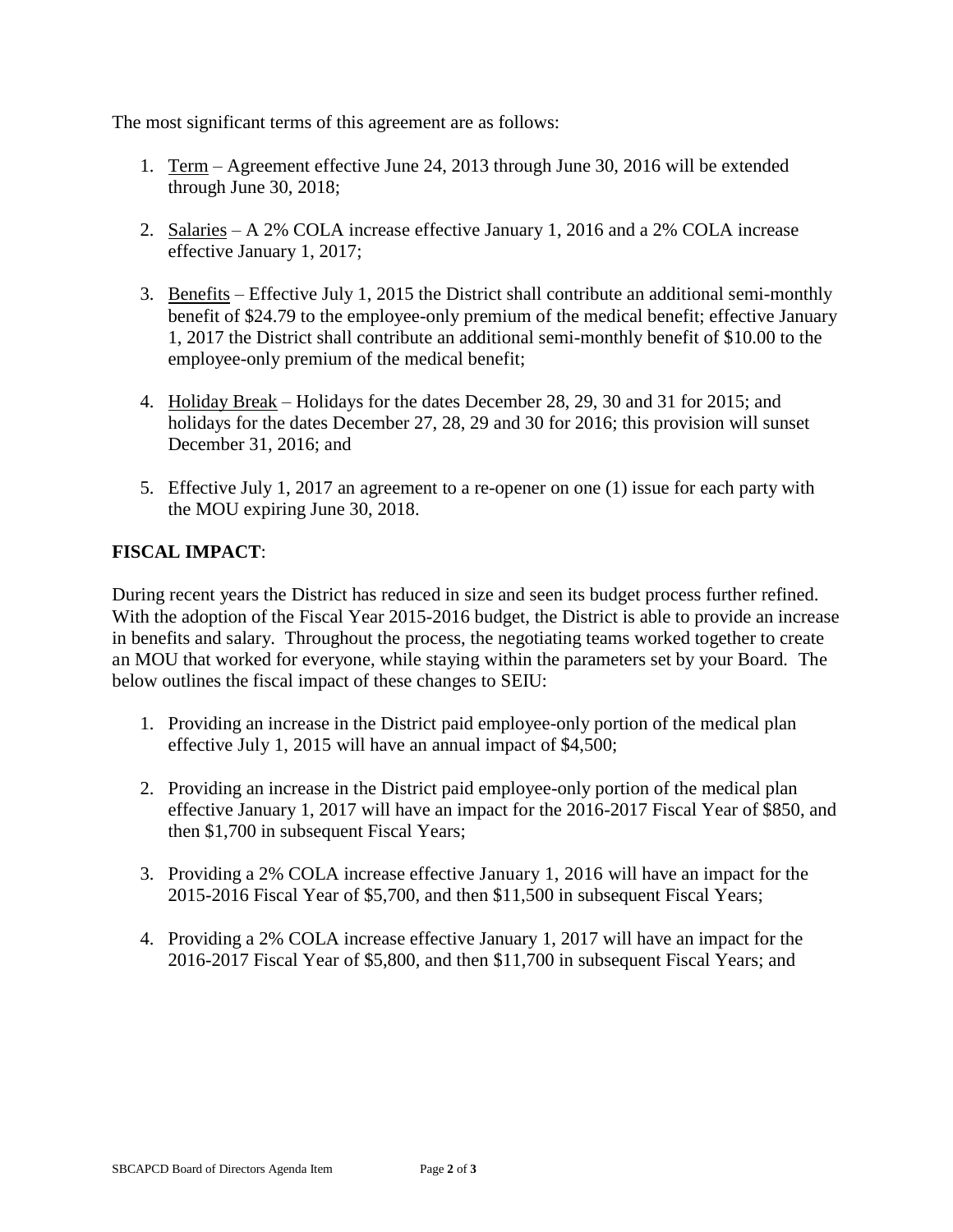The most significant terms of this agreement are as follows:

- 1. Term Agreement effective June 24, 2013 through June 30, 2016 will be extended through June 30, 2018;
- 2. Salaries A 2% COLA increase effective January 1, 2016 and a 2% COLA increase effective January 1, 2017;
- 3. Benefits Effective July 1, 2015 the District shall contribute an additional semi-monthly benefit of \$24.79 to the employee-only premium of the medical benefit; effective January 1, 2017 the District shall contribute an additional semi-monthly benefit of \$10.00 to the employee-only premium of the medical benefit;
- 4. Holiday Break Holidays for the dates December 28, 29, 30 and 31 for 2015; and holidays for the dates December 27, 28, 29 and 30 for 2016; this provision will sunset December 31, 2016; and
- 5. Effective July 1, 2017 an agreement to a re-opener on one (1) issue for each party with the MOU expiring June 30, 2018.

### **FISCAL IMPACT**:

During recent years the District has reduced in size and seen its budget process further refined. With the adoption of the Fiscal Year 2015-2016 budget, the District is able to provide an increase in benefits and salary. Throughout the process, the negotiating teams worked together to create an MOU that worked for everyone, while staying within the parameters set by your Board. The below outlines the fiscal impact of these changes to SEIU:

- 1. Providing an increase in the District paid employee-only portion of the medical plan effective July 1, 2015 will have an annual impact of \$4,500;
- 2. Providing an increase in the District paid employee-only portion of the medical plan effective January 1, 2017 will have an impact for the 2016-2017 Fiscal Year of \$850, and then \$1,700 in subsequent Fiscal Years;
- 3. Providing a 2% COLA increase effective January 1, 2016 will have an impact for the 2015-2016 Fiscal Year of \$5,700, and then \$11,500 in subsequent Fiscal Years;
- 4. Providing a 2% COLA increase effective January 1, 2017 will have an impact for the 2016-2017 Fiscal Year of \$5,800, and then \$11,700 in subsequent Fiscal Years; and